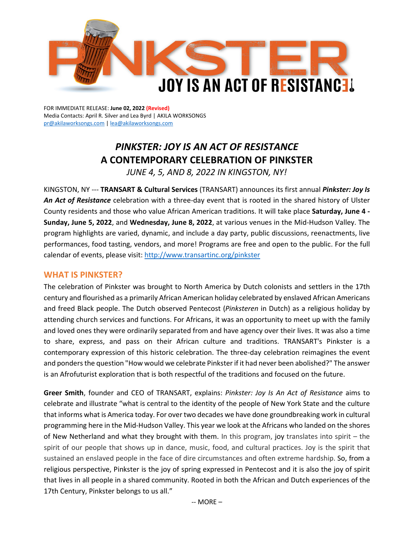

FOR IMMEDIATE RELEASE: **June 02, 2022 (Revised)** Media Contacts: April R. Silver and Lea Byrd | AKILA WORKSONGS [pr@akilaworksongs.com](mailto:pr@akilaworksongs.com) | [lea@akilaworksongs.com](mailto:lea@akilaworksongs.com)

# *PINKSTER: JOY IS AN ACT OF RESISTANCE*  **A CONTEMPORARY CELEBRATION OF PINKSTER**

*JUNE 4, 5, AND 8, 2022 IN KINGSTON, NY!*

KINGSTON, NY --- **TRANSART & Cultural Services** (TRANSART) announces its first annual *Pinkster: Joy Is An Act of Resistance* celebration with a three-day event that is rooted in the shared history of Ulster County residents and those who value African American traditions. It will take place **Saturday, June 4 - Sunday, June 5, 2022**, and **Wednesday, June 8, 2022**, at various venues in the Mid-Hudson Valley. The program highlights are varied, dynamic, and include a day party, public discussions, reenactments, live performances, food tasting, vendors, and more! Programs are free and open to the public. For the full calendar of events, please visit[: http://www.transartinc.org/pinkster](http://www.transartinc.org/pinkster)

# **WHAT IS PINKSTER?**

The celebration of Pinkster was brought to North America by Dutch colonists and settlers in the 17th century and flourished as a primarily African American holiday celebrated by enslaved African Americans and freed Black people. The Dutch observed Pentecost (*Pinksteren* in Dutch) as a religious holiday by attending church services and functions. For Africans, it was an opportunity to meet up with the family and loved ones they were ordinarily separated from and have agency over their lives. It was also a time to share, express, and pass on their African culture and traditions. TRANSART's Pinkster is a contemporary expression of this historic celebration. The three-day celebration reimagines the event and ponders the question "How would we celebrate Pinkster if it had never been abolished?" The answer is an Afrofuturist exploration that is both respectful of the traditions and focused on the future.

**Greer Smith**, founder and CEO of TRANSART, explains: *Pinkster: Joy Is An Act of Resistance* aims to celebrate and illustrate "what is central to the identity of the people of New York State and the culture that informs what is America today. For over two decades we have done groundbreaking work in cultural programming here in the Mid-Hudson Valley. This year we look at the Africans who landed on the shores of New Netherland and what they brought with them. In this program, joy translates into spirit – the spirit of our people that shows up in dance, music, food, and cultural practices. Joy is the spirit that sustained an enslaved people in the face of dire circumstances and often extreme hardship. So, from a religious perspective, Pinkster is the joy of spring expressed in Pentecost and it is also the joy of spirit that lives in all people in a shared community. Rooted in both the African and Dutch experiences of the 17th Century, Pinkster belongs to us all."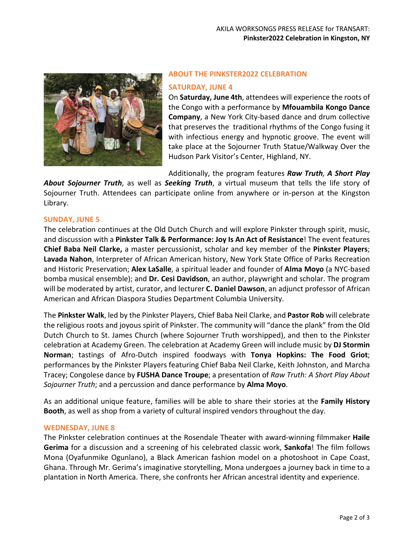

# **ABOUT THE PINKSTER2022 CELEBRATION**

#### **SATURDAY, JUNE 4**

On **Saturday, June 4th**, attendees will experience the roots of the Congo with a performance by **Mfouambila Kongo Dance Company**, a New York City-based dance and drum collective that preserves the traditional rhythms of the Congo fusing it with infectious energy and hypnotic groove. The event will take place at the Sojourner Truth Statue/Walkway Over the Hudson Park Visitor's Center, Highland, NY.

Additionally, the program features *Raw Truth, A Short Play* 

*About Sojourner Truth*, as well as *Seeking Truth*, a virtual museum that tells the life story of Sojourner Truth. Attendees can participate online from anywhere or in-person at the Kingston Library.

#### **SUNDAY, JUNE 5**

The celebration continues at the Old Dutch Church and will explore Pinkster through spirit, music, and discussion with a **Pinkster Talk & Performance: Joy Is An Act of Resistance**! The event features **Chief Baba Neil Clarke,** a master percussionist, scholar and key member of the **Pinkster Players**; **Lavada Nahon**, Interpreter of African American history, New York State Office of Parks Recreation and Historic Preservation; **Alex LaSalle**, a spiritual leader and founder of **Alma Moyo** (a NYC-based bomba musical ensemble); and **Dr. Cesi Davidson**, an author, playwright and scholar. The program will be moderated by artist, curator, and lecturer **C. Daniel Dawson**, an adjunct professor of African American and African Diaspora Studies Department Columbia University.

The **Pinkster Walk**, led by the Pinkster Players, Chief Baba Neil Clarke, and **Pastor Rob** will celebrate the religious roots and joyous spirit of Pinkster. The community will "dance the plank" from the Old Dutch Church to St. James Church (where Sojourner Truth worshipped), and then to the Pinkster celebration at Academy Green. The celebration at Academy Green will include music by **DJ Stormin Norman**; tastings of Afro-Dutch inspired foodways with **Tonya Hopkins: The Food Griot**; performances by the Pinkster Players featuring Chief Baba Neil Clarke, Keith Johnston, and Marcha Tracey; Congolese dance by **FUSHA Dance Troupe**; a presentation of *Raw Truth: A Short Play About Sojourner Truth*; and a percussion and dance performance by **Alma Moyo**.

As an additional unique feature, families will be able to share their stories at the **Family History Booth**, as well as shop from a variety of cultural inspired vendors throughout the day.

#### **WEDNESDAY, JUNE 8**

The Pinkster celebration continues at the Rosendale Theater with award-winning filmmaker **Haile Gerima** for a discussion and a screening of his celebrated classic work, **Sankofa**! The film follows Mona (Oyafunmike Ogunlano), a Black American fashion model on a photoshoot in Cape Coast, Ghana. Through Mr. Gerima's imaginative storytelling, Mona undergoes a journey back in time to a plantation in North America. There, she confronts her African ancestral identity and experience.